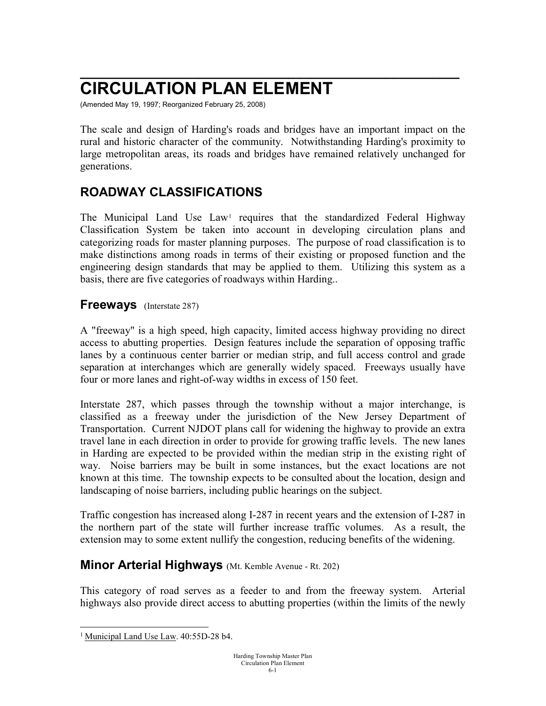# **\_\_\_\_\_\_\_\_\_\_\_\_\_\_\_\_\_\_\_\_\_\_\_\_\_\_\_\_\_\_\_\_\_\_\_\_\_\_\_\_\_\_\_\_\_\_\_\_\_\_\_ CIRCULATION PLAN ELEMENT**

(Amended May 19, 1997; Reorganized February 25, 2008)

The scale and design of Harding's roads and bridges have an important impact on the rural and historic character of the community. Notwithstanding Harding's proximity to large metropolitan areas, its roads and bridges have remained relatively unchanged for generations.

## **ROADWAY CLASSIFICATIONS**

The Municipal Land Use Law<sup>[1](#page-0-0)</sup> requires that the standardized Federal Highway Classification System be taken into account in developing circulation plans and categorizing roads for master planning purposes. The purpose of road classification is to make distinctions among roads in terms of their existing or proposed function and the engineering design standards that may be applied to them. Utilizing this system as a basis, there are five categories of roadways within Harding..

#### **Freeways** (Interstate 287)

A "freeway" is a high speed, high capacity, limited access highway providing no direct access to abutting properties. Design features include the separation of opposing traffic lanes by a continuous center barrier or median strip, and full access control and grade separation at interchanges which are generally widely spaced. Freeways usually have four or more lanes and right-of-way widths in excess of 150 feet.

Interstate 287, which passes through the township without a major interchange, is classified as a freeway under the jurisdiction of the New Jersey Department of Transportation. Current NJDOT plans call for widening the highway to provide an extra travel lane in each direction in order to provide for growing traffic levels. The new lanes in Harding are expected to be provided within the median strip in the existing right of way. Noise barriers may be built in some instances, but the exact locations are not known at this time. The township expects to be consulted about the location, design and landscaping of noise barriers, including public hearings on the subject.

Traffic congestion has increased along I-287 in recent years and the extension of I-287 in the northern part of the state will further increase traffic volumes. As a result, the extension may to some extent nullify the congestion, reducing benefits of the widening.

### **Minor Arterial Highways** (Mt. Kemble Avenue - Rt. 202)

This category of road serves as a feeder to and from the freeway system. Arterial highways also provide direct access to abutting properties (within the limits of the newly

<span id="page-0-0"></span><sup>&</sup>lt;sup>1</sup> Municipal Land Use Law. 40:55D-28 b4.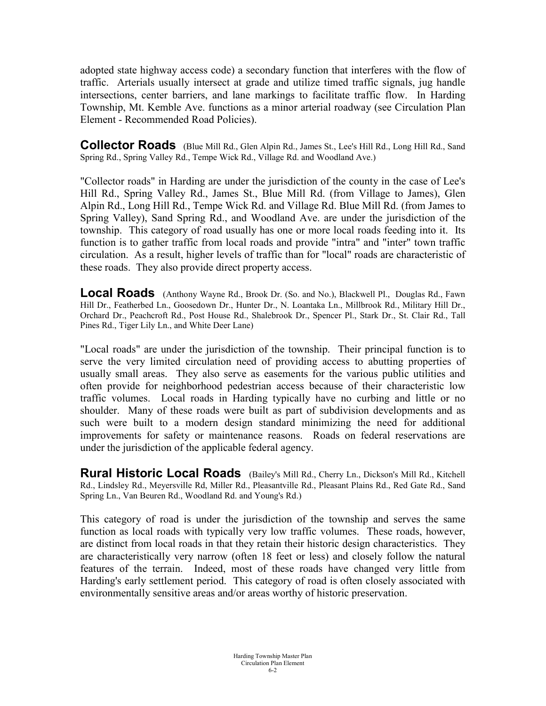adopted state highway access code) a secondary function that interferes with the flow of traffic. Arterials usually intersect at grade and utilize timed traffic signals, jug handle intersections, center barriers, and lane markings to facilitate traffic flow. In Harding Township, Mt. Kemble Ave. functions as a minor arterial roadway (see Circulation Plan Element - Recommended Road Policies).

**Collector Roads** (Blue Mill Rd., Glen Alpin Rd., James St., Lee's Hill Rd., Long Hill Rd., Sand Spring Rd., Spring Valley Rd., Tempe Wick Rd., Village Rd. and Woodland Ave.)

"Collector roads" in Harding are under the jurisdiction of the county in the case of Lee's Hill Rd., Spring Valley Rd., James St., Blue Mill Rd. (from Village to James), Glen Alpin Rd., Long Hill Rd., Tempe Wick Rd. and Village Rd. Blue Mill Rd. (from James to Spring Valley), Sand Spring Rd., and Woodland Ave. are under the jurisdiction of the township. This category of road usually has one or more local roads feeding into it. Its function is to gather traffic from local roads and provide "intra" and "inter" town traffic circulation. As a result, higher levels of traffic than for "local" roads are characteristic of these roads. They also provide direct property access.

**Local Roads** (Anthony Wayne Rd., Brook Dr. (So. and No.), Blackwell Pl., Douglas Rd., Fawn Hill Dr., Featherbed Ln., Goosedown Dr., Hunter Dr., N. Loantaka Ln., Millbrook Rd., Military Hill Dr., Orchard Dr., Peachcroft Rd., Post House Rd., Shalebrook Dr., Spencer Pl., Stark Dr., St. Clair Rd., Tall Pines Rd., Tiger Lily Ln., and White Deer Lane)

"Local roads" are under the jurisdiction of the township. Their principal function is to serve the very limited circulation need of providing access to abutting properties of usually small areas. They also serve as easements for the various public utilities and often provide for neighborhood pedestrian access because of their characteristic low traffic volumes. Local roads in Harding typically have no curbing and little or no shoulder. Many of these roads were built as part of subdivision developments and as such were built to a modern design standard minimizing the need for additional improvements for safety or maintenance reasons. Roads on federal reservations are under the jurisdiction of the applicable federal agency.

**Rural Historic Local Roads** (Bailey's Mill Rd., Cherry Ln., Dickson's Mill Rd., Kitchell Rd., Lindsley Rd., Meyersville Rd, Miller Rd., Pleasantville Rd., Pleasant Plains Rd., Red Gate Rd., Sand Spring Ln., Van Beuren Rd., Woodland Rd. and Young's Rd.)

This category of road is under the jurisdiction of the township and serves the same function as local roads with typically very low traffic volumes. These roads, however, are distinct from local roads in that they retain their historic design characteristics. They are characteristically very narrow (often 18 feet or less) and closely follow the natural features of the terrain. Indeed, most of these roads have changed very little from Harding's early settlement period. This category of road is often closely associated with environmentally sensitive areas and/or areas worthy of historic preservation.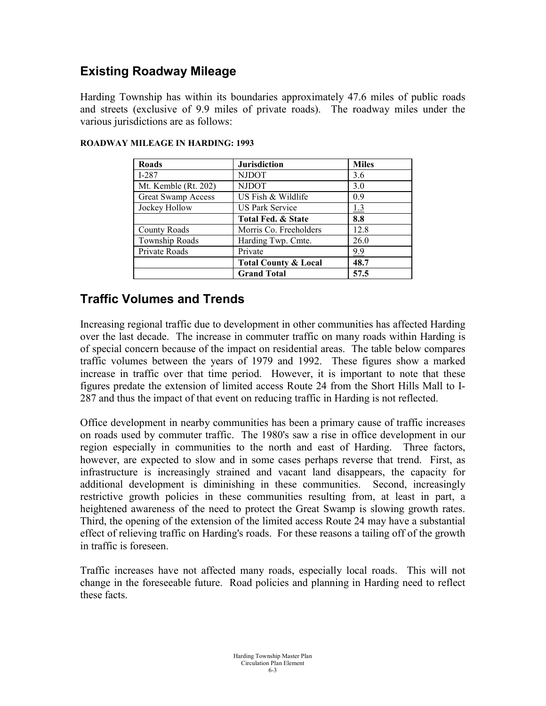### **Existing Roadway Mileage**

Harding Township has within its boundaries approximately 47.6 miles of public roads and streets (exclusive of 9.9 miles of private roads). The roadway miles under the various jurisdictions are as follows:

| <b>Roads</b>              | <b>Jurisdiction</b>             | <b>Miles</b> |
|---------------------------|---------------------------------|--------------|
| $I-287$                   | <b>NJDOT</b>                    | 3.6          |
| Mt. Kemble (Rt. 202)      | <b>NJDOT</b>                    | 3.0          |
| <b>Great Swamp Access</b> | US Fish & Wildlife              | 0.9          |
| Jockey Hollow             | US Park Service                 | <u>1.3</u>   |
|                           | Total Fed. & State              | 8.8          |
| County Roads              | Morris Co. Freeholders          | 12.8         |
| Township Roads            | Harding Twp. Cmte.              | 26.0         |
| Private Roads             | Private                         | <u>9.9</u>   |
|                           | <b>Total County &amp; Local</b> | 48.7         |
|                           | <b>Grand Total</b>              | 57.5         |

#### **ROADWAY MILEAGE IN HARDING: 1993**

### **Traffic Volumes and Trends**

Increasing regional traffic due to development in other communities has affected Harding over the last decade. The increase in commuter traffic on many roads within Harding is of special concern because of the impact on residential areas. The table below compares traffic volumes between the years of 1979 and 1992. These figures show a marked increase in traffic over that time period. However, it is important to note that these figures predate the extension of limited access Route 24 from the Short Hills Mall to I-287 and thus the impact of that event on reducing traffic in Harding is not reflected.

Office development in nearby communities has been a primary cause of traffic increases on roads used by commuter traffic. The 1980's saw a rise in office development in our region especially in communities to the north and east of Harding. Three factors, however, are expected to slow and in some cases perhaps reverse that trend. First, as infrastructure is increasingly strained and vacant land disappears, the capacity for additional development is diminishing in these communities. Second, increasingly restrictive growth policies in these communities resulting from, at least in part, a heightened awareness of the need to protect the Great Swamp is slowing growth rates. Third, the opening of the extension of the limited access Route 24 may have a substantial effect of relieving traffic on Harding's roads. For these reasons a tailing off of the growth in traffic is foreseen.

Traffic increases have not affected many roads, especially local roads. This will not change in the foreseeable future. Road policies and planning in Harding need to reflect these facts.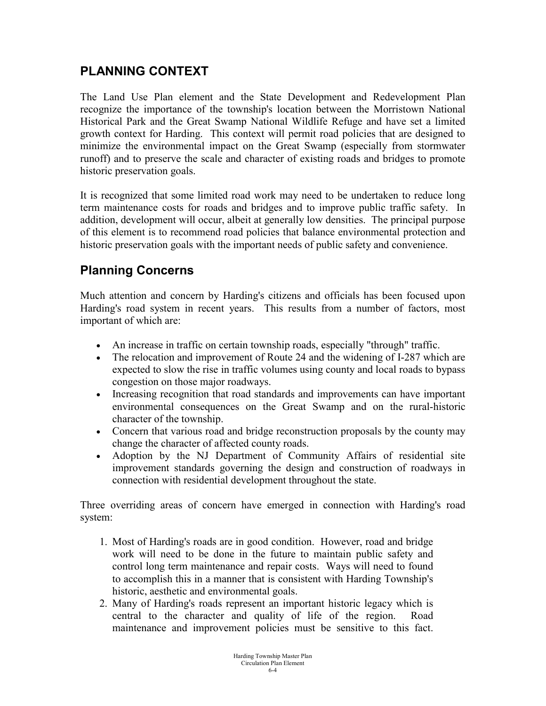## **PLANNING CONTEXT**

The Land Use Plan element and the State Development and Redevelopment Plan recognize the importance of the township's location between the Morristown National Historical Park and the Great Swamp National Wildlife Refuge and have set a limited growth context for Harding. This context will permit road policies that are designed to minimize the environmental impact on the Great Swamp (especially from stormwater runoff) and to preserve the scale and character of existing roads and bridges to promote historic preservation goals.

It is recognized that some limited road work may need to be undertaken to reduce long term maintenance costs for roads and bridges and to improve public traffic safety. In addition, development will occur, albeit at generally low densities. The principal purpose of this element is to recommend road policies that balance environmental protection and historic preservation goals with the important needs of public safety and convenience.

## **Planning Concerns**

Much attention and concern by Harding's citizens and officials has been focused upon Harding's road system in recent years. This results from a number of factors, most important of which are:

- An increase in traffic on certain township roads, especially "through" traffic.
- The relocation and improvement of Route 24 and the widening of I-287 which are expected to slow the rise in traffic volumes using county and local roads to bypass congestion on those major roadways.
- Increasing recognition that road standards and improvements can have important environmental consequences on the Great Swamp and on the rural-historic character of the township.
- Concern that various road and bridge reconstruction proposals by the county may change the character of affected county roads.
- Adoption by the NJ Department of Community Affairs of residential site improvement standards governing the design and construction of roadways in connection with residential development throughout the state.

Three overriding areas of concern have emerged in connection with Harding's road system:

- 1. Most of Harding's roads are in good condition. However, road and bridge work will need to be done in the future to maintain public safety and control long term maintenance and repair costs. Ways will need to found to accomplish this in a manner that is consistent with Harding Township's historic, aesthetic and environmental goals.
- 2. Many of Harding's roads represent an important historic legacy which is central to the character and quality of life of the region. Road maintenance and improvement policies must be sensitive to this fact.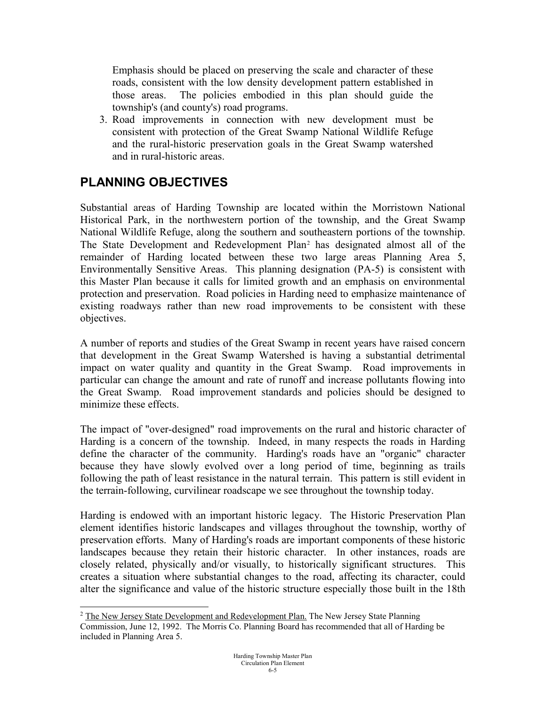Emphasis should be placed on preserving the scale and character of these roads, consistent with the low density development pattern established in those areas. The policies embodied in this plan should guide the township's (and county's) road programs.

3. Road improvements in connection with new development must be consistent with protection of the Great Swamp National Wildlife Refuge and the rural-historic preservation goals in the Great Swamp watershed and in rural-historic areas.

# **PLANNING OBJECTIVES**

Substantial areas of Harding Township are located within the Morristown National Historical Park, in the northwestern portion of the township, and the Great Swamp National Wildlife Refuge, along the southern and southeastern portions of the township. The State Development and Redevelopment Plan[2](#page-4-0) has designated almost all of the remainder of Harding located between these two large areas Planning Area 5, Environmentally Sensitive Areas. This planning designation (PA-5) is consistent with this Master Plan because it calls for limited growth and an emphasis on environmental protection and preservation. Road policies in Harding need to emphasize maintenance of existing roadways rather than new road improvements to be consistent with these objectives.

A number of reports and studies of the Great Swamp in recent years have raised concern that development in the Great Swamp Watershed is having a substantial detrimental impact on water quality and quantity in the Great Swamp. Road improvements in particular can change the amount and rate of runoff and increase pollutants flowing into the Great Swamp. Road improvement standards and policies should be designed to minimize these effects.

The impact of "over-designed" road improvements on the rural and historic character of Harding is a concern of the township. Indeed, in many respects the roads in Harding define the character of the community. Harding's roads have an "organic" character because they have slowly evolved over a long period of time, beginning as trails following the path of least resistance in the natural terrain. This pattern is still evident in the terrain-following, curvilinear roadscape we see throughout the township today.

Harding is endowed with an important historic legacy. The Historic Preservation Plan element identifies historic landscapes and villages throughout the township, worthy of preservation efforts. Many of Harding's roads are important components of these historic landscapes because they retain their historic character. In other instances, roads are closely related, physically and/or visually, to historically significant structures. This creates a situation where substantial changes to the road, affecting its character, could alter the significance and value of the historic structure especially those built in the 18th

<span id="page-4-0"></span><sup>&</sup>lt;sup>2</sup> The New Jersey State Development and Redevelopment Plan. The New Jersey State Planning Commission, June 12, 1992. The Morris Co. Planning Board has recommended that all of Harding be included in Planning Area 5.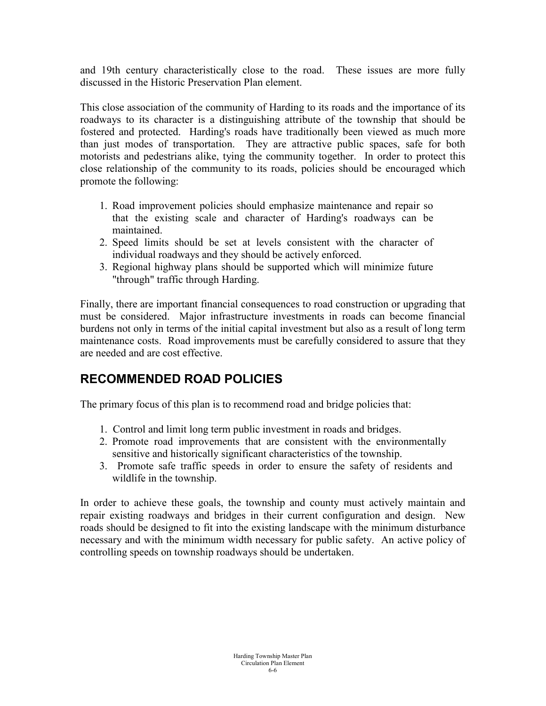and 19th century characteristically close to the road. These issues are more fully discussed in the Historic Preservation Plan element.

This close association of the community of Harding to its roads and the importance of its roadways to its character is a distinguishing attribute of the township that should be fostered and protected. Harding's roads have traditionally been viewed as much more than just modes of transportation. They are attractive public spaces, safe for both motorists and pedestrians alike, tying the community together. In order to protect this close relationship of the community to its roads, policies should be encouraged which promote the following:

- 1. Road improvement policies should emphasize maintenance and repair so that the existing scale and character of Harding's roadways can be maintained.
- 2. Speed limits should be set at levels consistent with the character of individual roadways and they should be actively enforced.
- 3. Regional highway plans should be supported which will minimize future "through" traffic through Harding.

Finally, there are important financial consequences to road construction or upgrading that must be considered. Major infrastructure investments in roads can become financial burdens not only in terms of the initial capital investment but also as a result of long term maintenance costs. Road improvements must be carefully considered to assure that they are needed and are cost effective.

### **RECOMMENDED ROAD POLICIES**

The primary focus of this plan is to recommend road and bridge policies that:

- 1. Control and limit long term public investment in roads and bridges.
- 2. Promote road improvements that are consistent with the environmentally sensitive and historically significant characteristics of the township.
- 3. Promote safe traffic speeds in order to ensure the safety of residents and wildlife in the township.

In order to achieve these goals, the township and county must actively maintain and repair existing roadways and bridges in their current configuration and design. New roads should be designed to fit into the existing landscape with the minimum disturbance necessary and with the minimum width necessary for public safety. An active policy of controlling speeds on township roadways should be undertaken.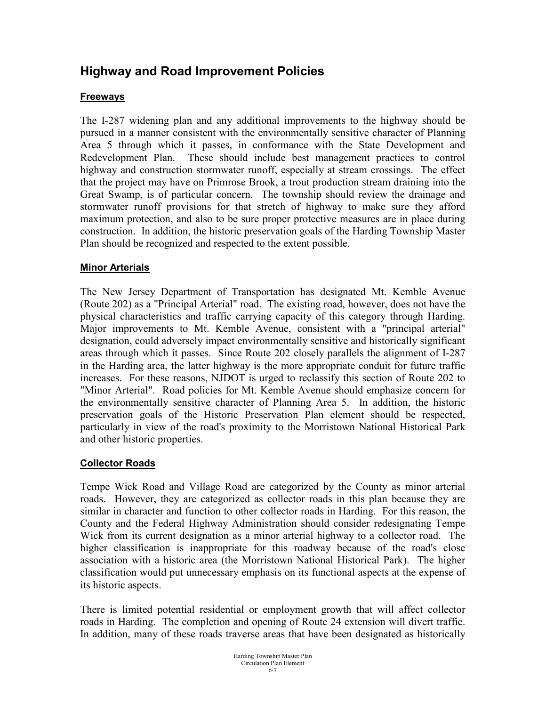### **Highway and Road Improvement Policies**

#### **Freeways**

The I-287 widening plan and any additional improvements to the highway should be pursued in a manner consistent with the environmentally sensitive character of Planning Area 5 through which it passes, in conformance with the State Development and Redevelopment Plan. These should include best management practices to control highway and construction stormwater runoff, especially at stream crossings. The effect that the project may have on Primrose Brook, a trout production stream draining into the Great Swamp, is of particular concern. The township should review the drainage and stormwater runoff provisions for that stretch of highway to make sure they afford maximum protection, and also to be sure proper protective measures are in place during construction. In addition, the historic preservation goals of the Harding Township Master Plan should be recognized and respected to the extent possible.

#### **Minor Arterials**

The New Jersey Department of Transportation has designated Mt. Kemble Avenue (Route 202) as a "Principal Arterial" road. The existing road, however, does not have the physical characteristics and traffic carrying capacity of this category through Harding. Major improvements to Mt. Kemble Avenue, consistent with a "principal arterial" designation, could adversely impact environmentally sensitive and historically significant areas through which it passes. Since Route 202 closely parallels the alignment of I-287 in the Harding area, the latter highway is the more appropriate conduit for future traffic increases. For these reasons, NJDOT is urged to reclassify this section of Route 202 to "Minor Arterial". Road policies for Mt. Kemble Avenue should emphasize concern for the environmentally sensitive character of Planning Area 5. In addition, the historic preservation goals of the Historic Preservation Plan element should be respected, particularly in view of the road's proximity to the Morristown National Historical Park and other historic properties.

#### **Collector Roads**

Tempe Wick Road and Village Road are categorized by the County as minor arterial roads. However, they are categorized as collector roads in this plan because they are similar in character and function to other collector roads in Harding. For this reason, the County and the Federal Highway Administration should consider redesignating Tempe Wick from its current designation as a minor arterial highway to a collector road. The higher classification is inappropriate for this roadway because of the road's close association with a historic area (the Morristown National Historical Park). The higher classification would put unnecessary emphasis on its functional aspects at the expense of its historic aspects.

There is limited potential residential or employment growth that will affect collector roads in Harding. The completion and opening of Route 24 extension will divert traffic. In addition, many of these roads traverse areas that have been designated as historically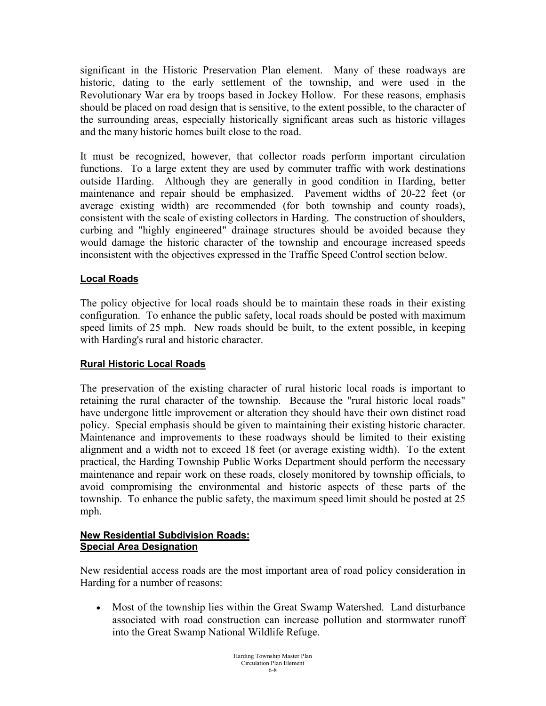significant in the Historic Preservation Plan element. Many of these roadways are historic, dating to the early settlement of the township, and were used in the Revolutionary War era by troops based in Jockey Hollow. For these reasons, emphasis should be placed on road design that is sensitive, to the extent possible, to the character of the surrounding areas, especially historically significant areas such as historic villages and the many historic homes built close to the road.

It must be recognized, however, that collector roads perform important circulation functions. To a large extent they are used by commuter traffic with work destinations outside Harding. Although they are generally in good condition in Harding, better maintenance and repair should be emphasized. Pavement widths of 20-22 feet (or average existing width) are recommended (for both township and county roads), consistent with the scale of existing collectors in Harding. The construction of shoulders, curbing and "highly engineered" drainage structures should be avoided because they would damage the historic character of the township and encourage increased speeds inconsistent with the objectives expressed in the Traffic Speed Control section below.

#### **Local Roads**

The policy objective for local roads should be to maintain these roads in their existing configuration. To enhance the public safety, local roads should be posted with maximum speed limits of 25 mph. New roads should be built, to the extent possible, in keeping with Harding's rural and historic character.

#### **Rural Historic Local Roads**

The preservation of the existing character of rural historic local roads is important to retaining the rural character of the township. Because the "rural historic local roads" have undergone little improvement or alteration they should have their own distinct road policy. Special emphasis should be given to maintaining their existing historic character. Maintenance and improvements to these roadways should be limited to their existing alignment and a width not to exceed 18 feet (or average existing width). To the extent practical, the Harding Township Public Works Department should perform the necessary maintenance and repair work on these roads, closely monitored by township officials, to avoid compromising the environmental and historic aspects of these parts of the township. To enhance the public safety, the maximum speed limit should be posted at 25 mph.

#### **New Residential Subdivision Roads: Special Area Designation**

New residential access roads are the most important area of road policy consideration in Harding for a number of reasons:

• Most of the township lies within the Great Swamp Watershed. Land disturbance associated with road construction can increase pollution and stormwater runoff into the Great Swamp National Wildlife Refuge.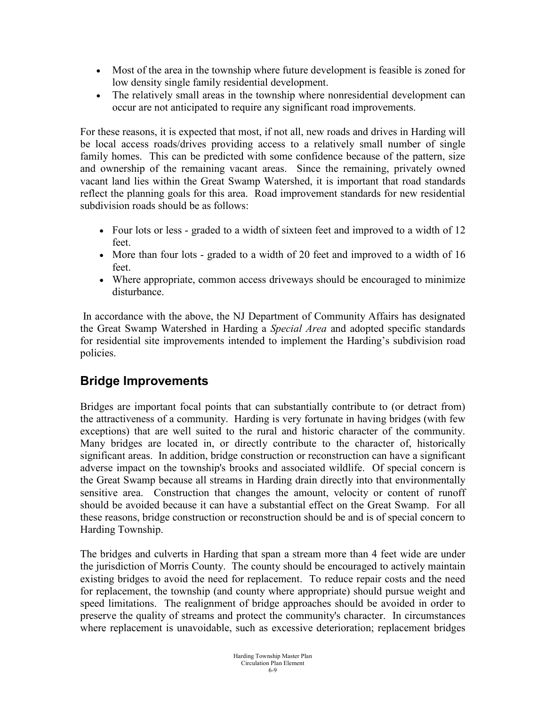- Most of the area in the township where future development is feasible is zoned for low density single family residential development.
- The relatively small areas in the township where nonresidential development can occur are not anticipated to require any significant road improvements.

For these reasons, it is expected that most, if not all, new roads and drives in Harding will be local access roads/drives providing access to a relatively small number of single family homes. This can be predicted with some confidence because of the pattern, size and ownership of the remaining vacant areas. Since the remaining, privately owned vacant land lies within the Great Swamp Watershed, it is important that road standards reflect the planning goals for this area. Road improvement standards for new residential subdivision roads should be as follows:

- Four lots or less graded to a width of sixteen feet and improved to a width of 12 feet.
- More than four lots graded to a width of 20 feet and improved to a width of 16 feet.
- Where appropriate, common access driveways should be encouraged to minimize disturbance.

In accordance with the above, the NJ Department of Community Affairs has designated the Great Swamp Watershed in Harding a *Special Area* and adopted specific standards for residential site improvements intended to implement the Harding's subdivision road policies.

### **Bridge Improvements**

Bridges are important focal points that can substantially contribute to (or detract from) the attractiveness of a community. Harding is very fortunate in having bridges (with few exceptions) that are well suited to the rural and historic character of the community. Many bridges are located in, or directly contribute to the character of, historically significant areas. In addition, bridge construction or reconstruction can have a significant adverse impact on the township's brooks and associated wildlife. Of special concern is the Great Swamp because all streams in Harding drain directly into that environmentally sensitive area. Construction that changes the amount, velocity or content of runoff should be avoided because it can have a substantial effect on the Great Swamp. For all these reasons, bridge construction or reconstruction should be and is of special concern to Harding Township.

The bridges and culverts in Harding that span a stream more than 4 feet wide are under the jurisdiction of Morris County. The county should be encouraged to actively maintain existing bridges to avoid the need for replacement. To reduce repair costs and the need for replacement, the township (and county where appropriate) should pursue weight and speed limitations. The realignment of bridge approaches should be avoided in order to preserve the quality of streams and protect the community's character. In circumstances where replacement is unavoidable, such as excessive deterioration; replacement bridges